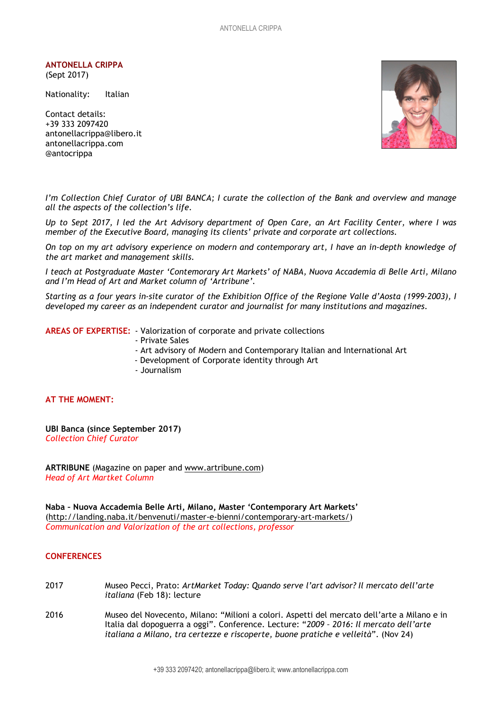ANTONELLA CRIPPA

(Sept 2017)

Nationality: Italian

Contact details: +39 333 2097420 antonellacrippa@libero.it antonellacrippa.com @antocrippa



I'm Collection Chief Curator of UBI BANCA; I curate the collection of the Bank and overview and manage all the aspects of the collection's life.

Up to Sept 2017, I led the Art Advisory department of Open Care, an Art Facility Center, where I was member of the Executive Board, managing its clients' private and corporate art collections.

On top on my art advisory experience on modern and contemporary art, I have an in-depth knowledge of the art market and management skills.

I teach at Postgraduate Master 'Contemorary Art Markets' of NABA, Nuova Accademia di Belle Arti, Milano and I'm Head of Art and Market column of 'Artribune'.

Starting as a four years in-site curator of the Exhibition Office of the Regione Valle d'Aosta (1999-2003), I developed my career as an independent curator and journalist for many institutions and magazines.

AREAS OF EXPERTISE: - Valorization of corporate and private collections

- Private Sales
- Art advisory of Modern and Contemporary Italian and International Art
- Development of Corporate identity through Art
- Journalism

# AT THE MOMENT:

UBI Banca (since September 2017) Collection Chief Curator

ARTRIBUNE (Magazine on paper and www.artribune.com) Head of Art Martket Column

Naba – Nuova Accademia Belle Arti, Milano, Master 'Contemporary Art Markets' (http://landing.naba.it/benvenuti/master-e-bienni/contemporary-art-markets/) Communication and Valorization of the art collections, professor

## **CONFERENCES**

- 2017 Museo Pecci, Prato: ArtMarket Today: Quando serve l'art advisor? Il mercato dell'arte italiana (Feb 18): lecture
- 2016 Museo del Novecento, Milano: "Milioni a colori. Aspetti del mercato dell'arte a Milano e in Italia dal dopoguerra a oggi". Conference. Lecture: "2009 – 2016: Il mercato dell'arte italiana a Milano, tra certezze e riscoperte, buone pratiche e velleità". (Nov 24)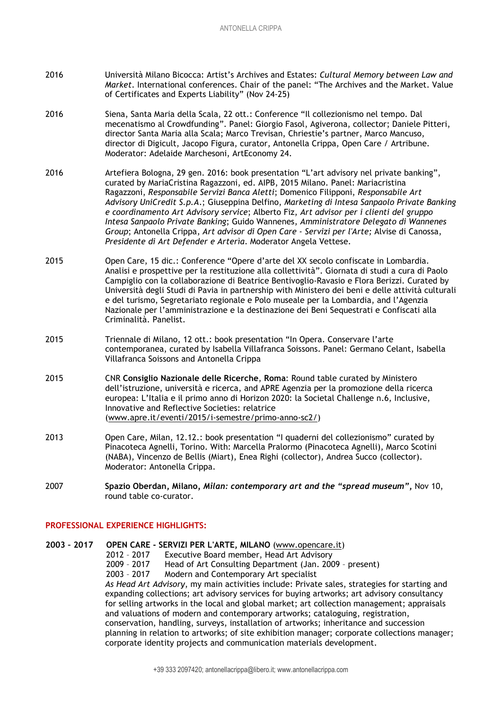- 2016 Università Milano Bicocca: Artist's Archives and Estates: Cultural Memory between Law and Market. International conferences. Chair of the panel: "The Archives and the Market. Value of Certificates and Experts Liability" (Nov 24-25)
- 2016 Siena, Santa Maria della Scala, 22 ott.: Conference "Il collezionismo nel tempo. Dal mecenatismo al Crowdfunding". Panel: Giorgio Fasol, Agiverona, collector; Daniele Pitteri, director Santa Maria alla Scala; Marco Trevisan, Chriestie's partner, Marco Mancuso, director di Digicult, Jacopo Figura, curator, Antonella Crippa, Open Care / Artribune. Moderator: Adelaide Marchesoni, ArtEconomy 24.
- 2016 Artefiera Bologna, 29 gen. 2016: book presentation "L'art advisory nel private banking", curated by MariaCristina Ragazzoni, ed. AIPB, 2015 Milano. Panel: Mariacristina Ragazzoni, Responsabile Servizi Banca Aletti; Domenico Filipponi, Responsabile Art Advisory UniCredit S.p.A.; Giuseppina Delfino, Marketing di Intesa Sanpaolo Private Banking e coordinamento Art Advisory service; Alberto Fiz, Art advisor per i clienti del gruppo Intesa Sanpaolo Private Banking; Guido Wannenes, Amministratore Delegato di Wannenes Group; Antonella Crippa, Art advisor di Open Care - Servizi per l'Arte; Alvise di Canossa, Presidente di Art Defender e Arterìa. Moderator Angela Vettese.
- 2015 Open Care, 15 dic.: Conference "Opere d'arte del XX secolo confiscate in Lombardia. Analisi e prospettive per la restituzione alla collettività". Giornata di studi a cura di Paolo Campiglio con la collaborazione di Beatrice Bentivoglio-Ravasio e Flora Berizzi. Curated by Università degli Studi di Pavia in partnership with Ministero dei beni e delle attività culturali e del turismo, Segretariato regionale e Polo museale per la Lombardia, and l'Agenzia Nazionale per l'amministrazione e la destinazione dei Beni Sequestrati e Confiscati alla Criminalità. Panelist.
- 2015 Triennale di Milano, 12 ott.: book presentation "In Opera. Conservare l'arte contemporanea, curated by Isabella Villafranca Soissons. Panel: Germano Celant, Isabella Villafranca Soissons and Antonella Crippa
- 2015 CNR Consiglio Nazionale delle Ricerche, Roma: Round table curated by Ministero dell'istruzione, università e ricerca, and APRE Agenzia per la promozione della ricerca europea: L'Italia e il primo anno di Horizon 2020: la Societal Challenge n.6, Inclusive, Innovative and Reflective Societies: relatrice (www.apre.it/eventi/2015/i-semestre/primo-anno-sc2/)
- 2013 Open Care, Milan, 12.12.: book presentation "I quaderni del collezionismo" curated by Pinacoteca Agnelli, Torino. With: Marcella Pralormo (Pinacoteca Agnelli), Marco Scotini (NABA), Vincenzo de Bellis (Miart), Enea Righi (collector), Andrea Succo (collector). Moderator: Antonella Crippa.
- 2007 Spazio Oberdan, Milano, Milan: contemporary art and the "spread museum", Nov 10, round table co-curator.

## PROFESSIONAL EXPERIENCE HIGHLIGHTS:

2003 – 2017 OPEN CARE - SERVIZI PER L'ARTE, MILANO (www.opencare.it) 2012 – 2017 Executive Board member, Head Art Advisory 2009 – 2017 Head of Art Consulting Department (Jan. 2009 – present) 2003 – 2017 Modern and Contemporary Art specialist As Head Art Advisory, my main activities include: Private sales, strategies for starting and expanding collections; art advisory services for buying artworks; art advisory consultancy for selling artworks in the local and global market; art collection management; appraisals and valuations of modern and contemporary artworks; cataloguing, registration, conservation, handling, surveys, installation of artworks; inheritance and succession planning in relation to artworks; of site exhibition manager; corporate collections manager; corporate identity projects and communication materials development.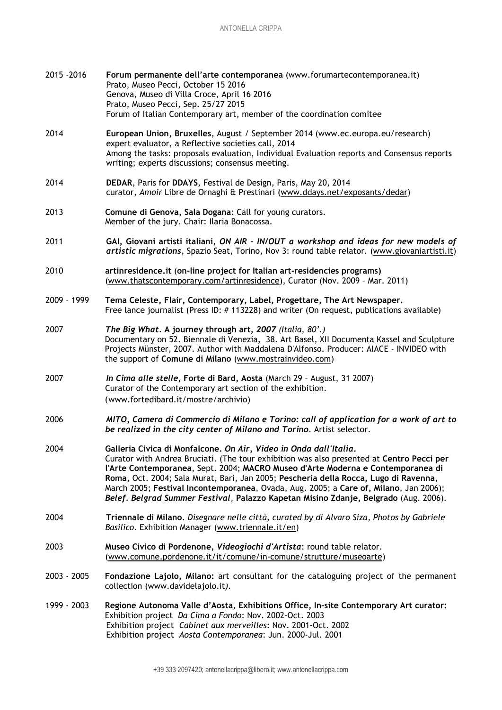| 2015 - 2016 | Forum permanente dell'arte contemporanea (www.forumartecontemporanea.it)<br>Prato, Museo Pecci, October 15 2016<br>Genova, Museo di Villa Croce, April 16 2016<br>Prato, Museo Pecci, Sep. 25/27 2015<br>Forum of Italian Contemporary art, member of the coordination comitee                                                                                                                                                                                                                                             |
|-------------|----------------------------------------------------------------------------------------------------------------------------------------------------------------------------------------------------------------------------------------------------------------------------------------------------------------------------------------------------------------------------------------------------------------------------------------------------------------------------------------------------------------------------|
| 2014        | European Union, Bruxelles, August / September 2014 (www.ec.europa.eu/research)<br>expert evaluator, a Reflective societies call, 2014<br>Among the tasks: proposals evaluation, Individual Evaluation reports and Consensus reports<br>writing; experts discussions; consensus meeting.                                                                                                                                                                                                                                    |
| 2014        | DEDAR, Paris for DDAYS, Festival de Design, Paris, May 20, 2014<br>curator, Amoir Libre de Ornaghi & Prestinari (www.ddays.net/exposants/dedar)                                                                                                                                                                                                                                                                                                                                                                            |
| 2013        | Comune di Genova, Sala Dogana: Call for young curators.<br>Member of the jury. Chair: Ilaria Bonacossa.                                                                                                                                                                                                                                                                                                                                                                                                                    |
| 2011        | GAI, Giovani artisti italiani, ON AIR - IN/OUT a workshop and ideas for new models of<br>artistic migrations, Spazio Seat, Torino, Nov 3: round table relator. (www.giovaniartisti.it)                                                                                                                                                                                                                                                                                                                                     |
| 2010        | artinresidence.it (on-line project for Italian art-residencies programs)<br>(www.thatscontemporary.com/artinresidence), Curator (Nov. 2009 - Mar. 2011)                                                                                                                                                                                                                                                                                                                                                                    |
| 2009 - 1999 | Tema Celeste, Flair, Contemporary, Label, Progettare, The Art Newspaper.<br>Free lance journalist (Press ID: #113228) and writer (On request, publications available)                                                                                                                                                                                                                                                                                                                                                      |
| 2007        | The Big What. A journey through art, 2007 (Italia, 80'.)<br>Documentary on 52. Biennale di Venezia, 38. Art Basel, XII Documenta Kassel and Sculpture<br>Projects Münster, 2007. Author with Maddalena D'Alfonso. Producer: AIACE - INVIDEO with<br>the support of Comune di Milano (www.mostrainvideo.com)                                                                                                                                                                                                                |
| 2007        | In Cima alle stelle, Forte di Bard, Aosta (March 29 - August, 31 2007)<br>Curator of the Contemporary art section of the exhibition.<br>(www.fortedibard.it/mostre/archivio)                                                                                                                                                                                                                                                                                                                                               |
| 2006        | MITO, Camera di Commercio di Milano e Torino: call of application for a work of art to<br>be realized in the city center of Milano and Torino. Artist selector.                                                                                                                                                                                                                                                                                                                                                            |
| 2004        | Galleria Civica di Monfalcone. On Air, Video in Onda dall'Italia.<br>Curator with Andrea Bruciati. (The tour exhibition was also presented at Centro Pecci per<br>l'Arte Contemporanea, Sept. 2004; MACRO Museo d'Arte Moderna e Contemporanea di<br>Roma, Oct. 2004; Sala Murat, Bari, Jan 2005; Pescheria della Rocca, Lugo di Ravenna,<br>March 2005; Festival Incontemporanea, Ovada, Aug. 2005; a Care of, Milano, Jan 2006);<br>Belef. Belgrad Summer Festival, Palazzo Kapetan Misino Zdanje, Belgrado (Aug. 2006). |
| 2004        | Triennale di Milano. Disegnare nelle città, curated by di Alvaro Siza, Photos by Gabriele<br>Basilico. Exhibition Manager (www.triennale.it/en)                                                                                                                                                                                                                                                                                                                                                                            |
| 2003        | Museo Civico di Pordenone, Videogiochi d'Artista: round table relator.<br>(www.comune.pordenone.it/it/comune/in-comune/strutture/museoarte)                                                                                                                                                                                                                                                                                                                                                                                |
| 2003 - 2005 | Fondazione Lajolo, Milano: art consultant for the cataloguing project of the permanent<br>collection (www.davidelajolo.it).                                                                                                                                                                                                                                                                                                                                                                                                |
| 1999 - 2003 | Regione Autonoma Valle d'Aosta, Exhibitions Office, In-site Contemporary Art curator:<br>Exhibition project Da Cima a Fondo: Nov. 2002-Oct. 2003<br>Exhibition project Cabinet aux merveilles: Nov. 2001-Oct. 2002<br>Exhibition project Aosta Contemporanea: Jun. 2000-Jul. 2001                                                                                                                                                                                                                                          |